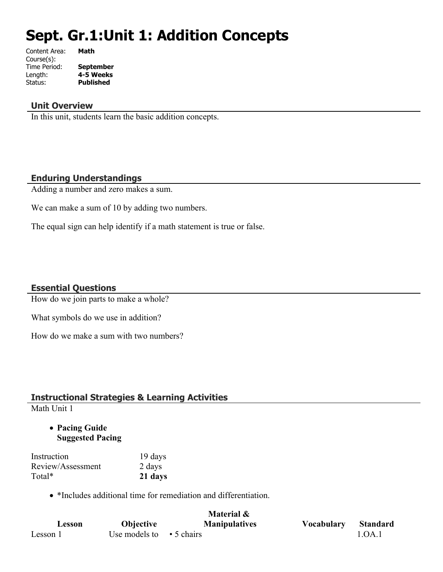# **Sept. Gr.1:Unit 1: Addition Concepts**

| Math             |
|------------------|
|                  |
| <b>September</b> |
| 4-5 Weeks        |
| <b>Published</b> |
|                  |

## **Unit Overview**

In this unit, students learn the basic addition concepts.

## **Enduring Understandings**

Adding a number and zero makes a sum.

We can make a sum of 10 by adding two numbers.

The equal sign can help identify if a math statement is true or false.

## **Essential Questions**

How do we join parts to make a whole?

What symbols do we use in addition?

How do we make a sum with two numbers?

## **Instructional Strategies & Learning Activities**

Math Unit 1

 **Pacing Guide Suggested Pacing**

| Instruction       | 19 days |
|-------------------|---------|
| Review/Assessment | 2 days  |
| Total*            | 21 days |

• \*Includes additional time for remediation and differentiation.

|          |                                | Material &           |                   |                 |
|----------|--------------------------------|----------------------|-------------------|-----------------|
| Lesson   | <b>Objective</b>               | <b>Manipulatives</b> | <b>Vocabulary</b> | <b>Standard</b> |
| Lesson 1 | Use models to $\cdot$ 5 chairs |                      |                   | 1.OA.1          |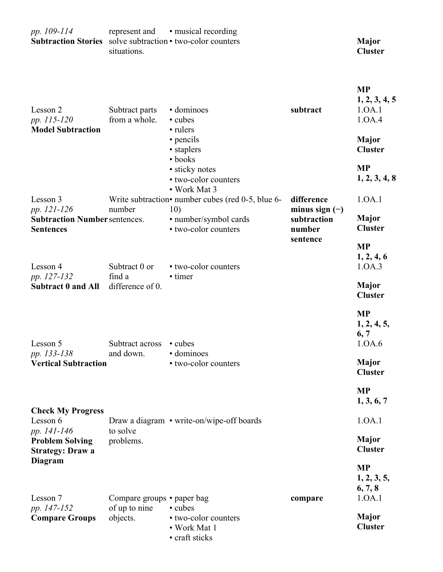| pp. 109-114<br>Subtraction Stories solve subtraction • two-color counters | represent and<br>situations.                | • musical recording                                               |                                | <b>Major</b><br><b>Cluster</b>                 |
|---------------------------------------------------------------------------|---------------------------------------------|-------------------------------------------------------------------|--------------------------------|------------------------------------------------|
| Lesson 2<br>pp. 115-120                                                   | Subtract parts<br>from a whole.             | • dominoes<br>• cubes                                             | subtract                       | <b>MP</b><br>1, 2, 3, 4, 5<br>1.0A.1<br>1.0A.4 |
| <b>Model Subtraction</b>                                                  |                                             | • rulers<br>• pencils<br>• staplers                               |                                | <b>Major</b><br><b>Cluster</b>                 |
|                                                                           |                                             | • books<br>• sticky notes<br>• two-color counters<br>• Work Mat 3 |                                | <b>MP</b><br>1, 2, 3, 4, 8                     |
| Lesson 3<br>pp. 121-126                                                   | number                                      | Write subtraction• number cubes (red 0-5, blue 6-<br>10)          | difference<br>minus sign $(-)$ | 1.0A.1                                         |
| <b>Subtraction Number sentences.</b><br><b>Sentences</b>                  |                                             | · number/symbol cards<br>• two-color counters                     | subtraction<br>number          | <b>Major</b><br><b>Cluster</b>                 |
| Lesson 4                                                                  | Subtract 0 or                               | • two-color counters                                              | sentence                       | <b>MP</b><br>1, 2, 4, 6<br>1.0A.3              |
| pp. 127-132<br><b>Subtract 0 and All</b>                                  | find a<br>difference of 0.                  | • timer                                                           |                                | <b>Major</b><br><b>Cluster</b>                 |
|                                                                           |                                             |                                                                   |                                | <b>MP</b><br>1, 2, 4, 5,<br>6, 7               |
| Lesson 5<br>pp. 133-138                                                   | Subtract across • cubes<br>and down.        | · dominoes                                                        |                                | 1.0A.6                                         |
| <b>Vertical Subtraction</b>                                               |                                             | • two-color counters                                              |                                | <b>Major</b><br><b>Cluster</b>                 |
|                                                                           |                                             |                                                                   |                                | <b>MP</b><br>1, 3, 6, 7                        |
| <b>Check My Progress</b><br>Lesson 6                                      | to solve                                    | Draw a diagram • write-on/wipe-off boards                         |                                | 1.0A.1                                         |
| pp. 141-146<br><b>Problem Solving</b><br><b>Strategy: Draw a</b>          | problems.                                   |                                                                   |                                | <b>Major</b><br><b>Cluster</b>                 |
| <b>Diagram</b><br>Lesson 7                                                |                                             |                                                                   |                                | <b>MP</b><br>1, 2, 3, 5,<br>6, 7, 8<br>1.0A.1  |
| pp. 147-152                                                               | Compare groups • paper bag<br>of up to nine | • cubes                                                           | compare                        |                                                |
| <b>Compare Groups</b>                                                     | objects.                                    | • two-color counters<br>• Work Mat 1<br>• craft sticks            |                                | <b>Major</b><br><b>Cluster</b>                 |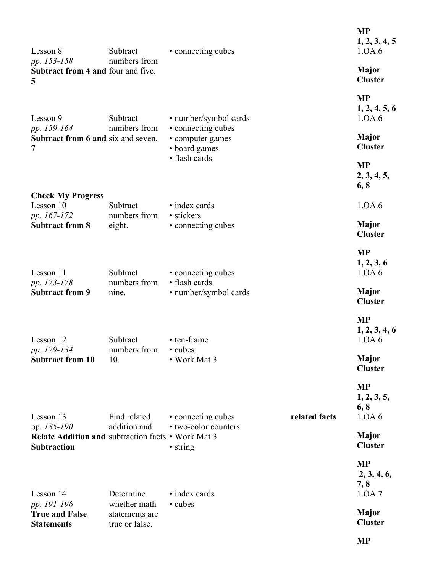| Lesson 8<br>pp. 153-158                                                                  | Subtract<br>numbers from                         | • connecting cubes                                      |               | <b>MP</b><br>1, 2, 3, 4, 5<br>1.0A.6       |
|------------------------------------------------------------------------------------------|--------------------------------------------------|---------------------------------------------------------|---------------|--------------------------------------------|
| <b>Subtract from 4 and four and five.</b><br>5                                           |                                                  |                                                         |               | <b>Major</b><br><b>Cluster</b>             |
| Lesson 9                                                                                 | Subtract                                         | • number/symbol cards                                   |               | <b>MP</b><br>1, 2, 4, 5, 6<br>1.0A.6       |
| pp. 159-164<br><b>Subtract from 6 and six and seven.</b><br>7                            | numbers from                                     | • connecting cubes<br>• computer games<br>• board games |               | <b>Major</b><br><b>Cluster</b>             |
|                                                                                          |                                                  | • flash cards                                           |               | <b>MP</b><br>2, 3, 4, 5,<br>6, 8           |
| <b>Check My Progress</b><br>Lesson 10                                                    | Subtract                                         | • index cards                                           |               | 1.0A.6                                     |
| pp. 167-172<br><b>Subtract from 8</b>                                                    | numbers from<br>eight.                           | • stickers<br>• connecting cubes                        |               | <b>Major</b><br><b>Cluster</b>             |
| Lesson 11                                                                                | Subtract                                         | • connecting cubes                                      |               | <b>MP</b><br>1, 2, 3, 6<br>1.0A.6          |
| pp. 173-178<br><b>Subtract from 9</b>                                                    | numbers from<br>nine.                            | • flash cards<br>· number/symbol cards                  |               | <b>Major</b><br><b>Cluster</b>             |
| Lesson 12<br>pp. 179-184                                                                 | Subtract<br>numbers from                         | • ten-frame<br>• cubes                                  |               | <b>MP</b><br>1, 2, 3, 4, 6<br>1.0A.6       |
| <b>Subtract from 10</b>                                                                  | 10.                                              | • Work Mat 3                                            |               | <b>Major</b><br><b>Cluster</b>             |
| Lesson 13                                                                                | Find related                                     | • connecting cubes                                      | related facts | <b>MP</b><br>1, 2, 3, 5,<br>6, 8<br>1.0A.6 |
| pp. 185-190<br>Relate Addition and subtraction facts. • Work Mat 3<br><b>Subtraction</b> | addition and                                     | • two-color counters<br>• string                        |               | <b>Major</b><br><b>Cluster</b>             |
| Lesson 14                                                                                | Determine                                        | • index cards                                           |               | <b>MP</b><br>2, 3, 4, 6,<br>7, 8<br>1.0A.7 |
| pp. 191-196<br><b>True and False</b><br><b>Statements</b>                                | whether math<br>statements are<br>true or false. | • cubes                                                 |               | <b>Major</b><br><b>Cluster</b>             |
|                                                                                          |                                                  |                                                         |               | <b>MP</b>                                  |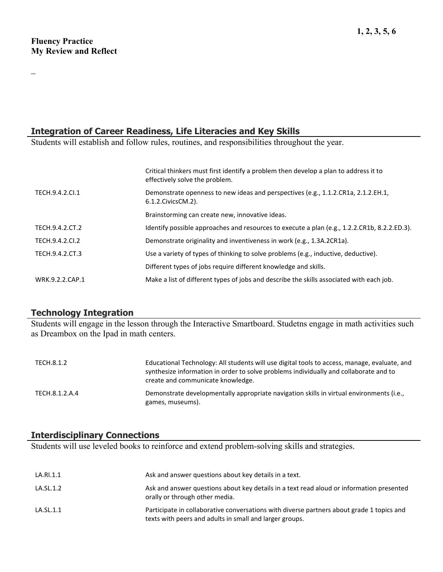$\overline{\phantom{0}}$ 

## **Integration of Career Readiness, Life Literacies and Key Skills**

Students will establish and follow rules, routines, and responsibilities throughout the year.

|                 | Critical thinkers must first identify a problem then develop a plan to address it to<br>effectively solve the problem. |
|-----------------|------------------------------------------------------------------------------------------------------------------------|
| TECH.9.4.2.CI.1 | Demonstrate openness to new ideas and perspectives (e.g., 1.1.2.CR1a, 2.1.2.EH.1,<br>6.1.2. Civics CM. 2).             |
|                 | Brainstorming can create new, innovative ideas.                                                                        |
| TECH.9.4.2.CT.2 | Identify possible approaches and resources to execute a plan (e.g., 1.2.2.CR1b, 8.2.2.ED.3).                           |
| TECH.9.4.2.CI.2 | Demonstrate originality and inventiveness in work (e.g., 1.3A.2CR1a).                                                  |
| TECH.9.4.2.CT.3 | Use a variety of types of thinking to solve problems (e.g., inductive, deductive).                                     |
|                 | Different types of jobs require different knowledge and skills.                                                        |
| WRK.9.2.2.CAP.1 | Make a list of different types of jobs and describe the skills associated with each job.                               |
|                 |                                                                                                                        |

## **Technology Integration**

Students will engage in the lesson through the Interactive Smartboard. Studetns engage in math activities such as Dreambox on the Ipad in math centers.

| TECH.8.1.2     | Educational Technology: All students will use digital tools to access, manage, evaluate, and<br>synthesize information in order to solve problems individually and collaborate and to<br>create and communicate knowledge. |
|----------------|----------------------------------------------------------------------------------------------------------------------------------------------------------------------------------------------------------------------------|
| TECH.8.1.2.A.4 | Demonstrate developmentally appropriate navigation skills in virtual environments (i.e.,<br>games, museums).                                                                                                               |

## **Interdisciplinary Connections**

Students will use leveled books to reinforce and extend problem-solving skills and strategies.

| LA.RI.1.1 | Ask and answer questions about key details in a text.                                                                                                |
|-----------|------------------------------------------------------------------------------------------------------------------------------------------------------|
| LA.SL.1.2 | Ask and answer questions about key details in a text read aloud or information presented<br>orally or through other media.                           |
| LA.SL.1.1 | Participate in collaborative conversations with diverse partners about grade 1 topics and<br>texts with peers and adults in small and larger groups. |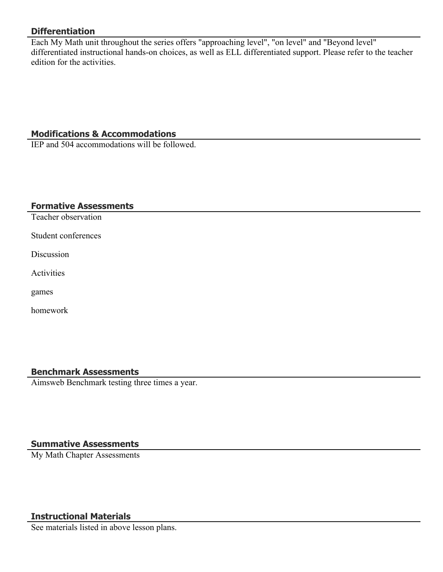## **Differentiation**

Each My Math unit throughout the series offers "approaching level", "on level" and "Beyond level" differentiated instructional hands-on choices, as well as ELL differentiated support. Please refer to the teacher edition for the activities.

## **Modifications & Accommodations**

IEP and 504 accommodations will be followed.

#### **Formative Assessments**

Teacher observation

Student conferences

Discussion

**Activities** 

games

homework

#### **Benchmark Assessments**

Aimsweb Benchmark testing three times a year.

## **Summative Assessments**

My Math Chapter Assessments

## **Instructional Materials**

See materials listed in above lesson plans.